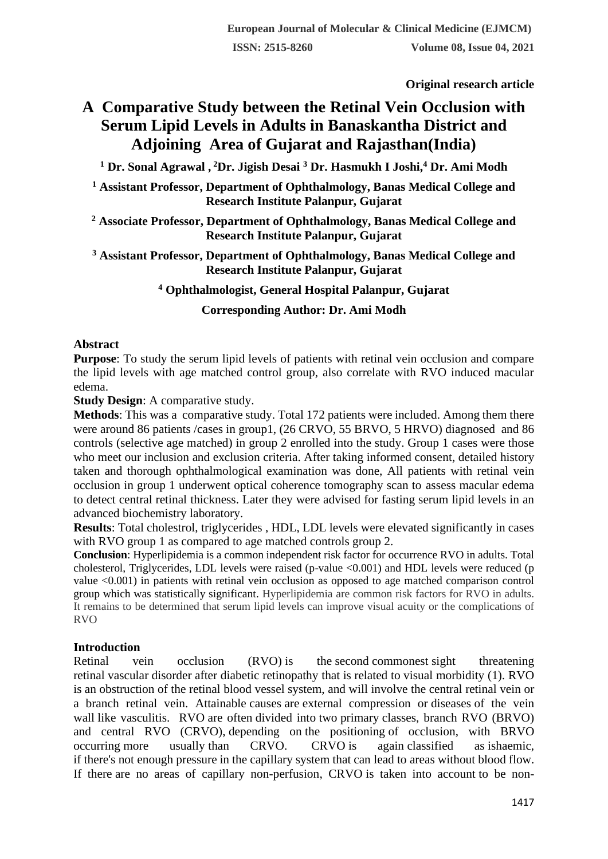**Original research article** 

# **A Comparative Study between the Retinal Vein Occlusion with Serum Lipid Levels in Adults in Banaskantha District and Adjoining Area of Gujarat and Rajasthan(India)**

**<sup>1</sup> Dr. Sonal Agrawal , <sup>2</sup>Dr. Jigish Desai <sup>3</sup> Dr. Hasmukh I Joshi,<sup>4</sup> Dr. Ami Modh**

**<sup>1</sup> Assistant Professor, Department of Ophthalmology, Banas Medical College and Research Institute Palanpur, Gujarat**

**<sup>2</sup> Associate Professor, Department of Ophthalmology, Banas Medical College and Research Institute Palanpur, Gujarat**

**<sup>3</sup> Assistant Professor, Department of Ophthalmology, Banas Medical College and Research Institute Palanpur, Gujarat**

**<sup>4</sup> Ophthalmologist, General Hospital Palanpur, Gujarat**

**Corresponding Author: Dr. Ami Modh**

# **Abstract**

**Purpose**: To study the serum lipid levels of patients with retinal vein occlusion and compare the lipid levels with age matched control group, also correlate with RVO induced macular edema.

**Study Design:** A comparative study.

**Methods**: This was a comparative study. Total 172 patients were included. Among them there were around 86 patients /cases in group1, (26 CRVO, 55 BRVO, 5 HRVO) diagnosed and 86 controls (selective age matched) in group 2 enrolled into the study. Group 1 cases were those who meet our inclusion and exclusion criteria. After taking informed consent, detailed history taken and thorough ophthalmological examination was done, All patients with retinal vein occlusion in group 1 underwent optical coherence tomography scan to assess macular edema to detect central retinal thickness. Later they were advised for fasting serum lipid levels in an advanced biochemistry laboratory.

**Results**: Total cholestrol, triglycerides , HDL, LDL levels were elevated significantly in cases with RVO group 1 as compared to age matched controls group 2.

**Conclusion**: Hyperlipidemia is a common independent risk factor for occurrence RVO in adults. Total cholesterol, Triglycerides, LDL levels were raised (p-value <0.001) and HDL levels were reduced (p value <0.001) in patients with retinal vein occlusion as opposed to age matched comparison control group which was statistically significant. Hyperlipidemia are common risk factors for RVO in adults. It remains to be determined that serum lipid levels can improve visual acuity or the complications of RVO

# **Introduction**

Retinal vein occlusion (RVO) is the second commonest sight threatening retinal vascular disorder after diabetic retinopathy that is related to visual morbidity (1). RVO is an obstruction of the retinal blood vessel system, and will involve the central retinal vein or a branch retinal vein. Attainable causes are external compression or diseases of the vein wall like vasculitis. RVO are often divided into two primary classes, branch RVO (BRVO) and central RVO (CRVO), depending on the positioning of occlusion, with BRVO occurring more usually than CRVO. CRVO is again classified as ishaemic, if there's not enough pressure in the capillary system that can lead to areas without blood flow. If there are no areas of capillary non-perfusion, CRVO is taken into account to be non-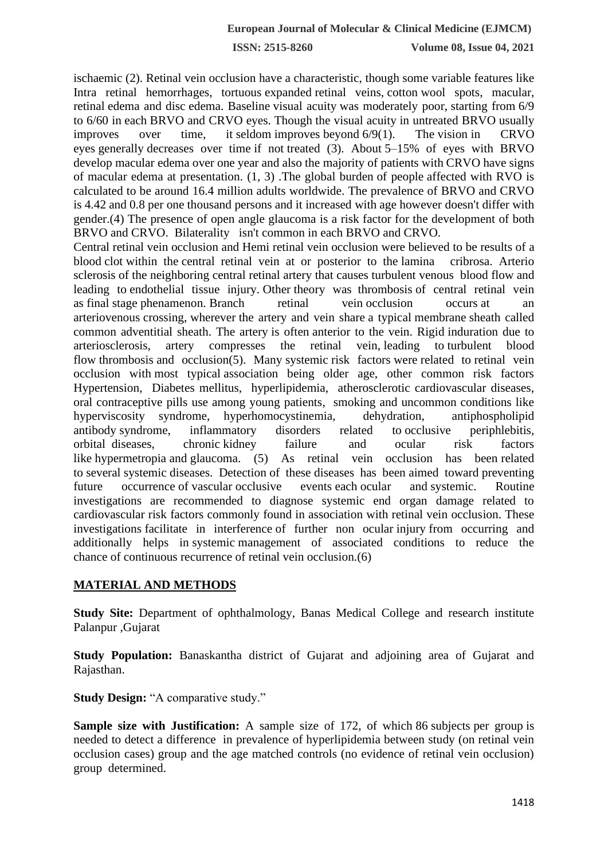ischaemic (2). Retinal vein occlusion have a characteristic, though some variable features like Intra retinal hemorrhages, tortuous expanded retinal veins, cotton wool spots, macular, retinal edema and disc edema. Baseline visual acuity was moderately poor, starting from 6/9 to 6/60 in each BRVO and CRVO eyes. Though the visual acuity in untreated BRVO usually improves over time, it seldom improves beyond  $6/9(1)$ . The vision in CRVO eyes generally decreases over time if not treated (3). About 5–15% of eyes with BRVO develop macular edema over one year and also the majority of patients with CRVO have signs of macular edema at presentation. (1, 3) .The global burden of people affected with RVO is calculated to be around 16.4 million adults worldwide. The prevalence of BRVO and CRVO is 4.42 and 0.8 per one thousand persons and it increased with age however doesn't differ with gender.(4) The presence of open angle glaucoma is a risk factor for the development of both BRVO and CRVO. Bilaterality isn't common in each BRVO and CRVO.

Central retinal vein occlusion and Hemi retinal vein occlusion were believed to be results of a blood clot within the central retinal vein at or posterior to the lamina cribrosa. Arterio sclerosis of the neighboring central retinal artery that causes turbulent venous blood flow and leading to endothelial tissue injury. Other theory was thrombosis of central retinal vein as final stage phenamenon. Branch retinal vein occlusion occurs at an arteriovenous crossing, wherever the artery and vein share a typical membrane sheath called common adventitial sheath. The artery is often anterior to the vein. Rigid induration due to arteriosclerosis, artery compresses the retinal vein, leading to turbulent blood flow thrombosis and occlusion(5). Many systemic risk factors were related to retinal vein occlusion with most typical association being older age, other common risk factors Hypertension, Diabetes mellitus, hyperlipidemia, atherosclerotic cardiovascular diseases, oral contraceptive pills use among young patients, smoking and uncommon conditions like hyperviscosity syndrome, hyperhomocystinemia, dehydration, antiphospholipid antibody syndrome, inflammatory disorders related to occlusive periphlebitis, orbital diseases, chronic kidney failure and ocular risk factors like hypermetropia and glaucoma. (5) As retinal vein occlusion has been related to several systemic diseases. Detection of these diseases has been aimed toward preventing future occurrence of vascular occlusive events each ocular and systemic. Routine investigations are recommended to diagnose systemic end organ damage related to cardiovascular risk factors commonly found in association with retinal vein occlusion. These investigations facilitate in interference of further non ocular injury from occurring and additionally helps in systemic management of associated conditions to reduce the chance of continuous recurrence of retinal vein occlusion.(6)

# **MATERIAL AND METHODS**

**Study Site:** Department of ophthalmology, Banas Medical College and research institute Palanpur ,Gujarat

**Study Population:** Banaskantha district of Gujarat and adjoining area of Gujarat and Rajasthan.

**Study Design:** "A comparative study."

**Sample size with Justification:** A sample size of 172, of which 86 subjects per group is needed to detect a difference in prevalence of hyperlipidemia between study (on retinal vein occlusion cases) group and the age matched controls (no evidence of retinal vein occlusion) group determined.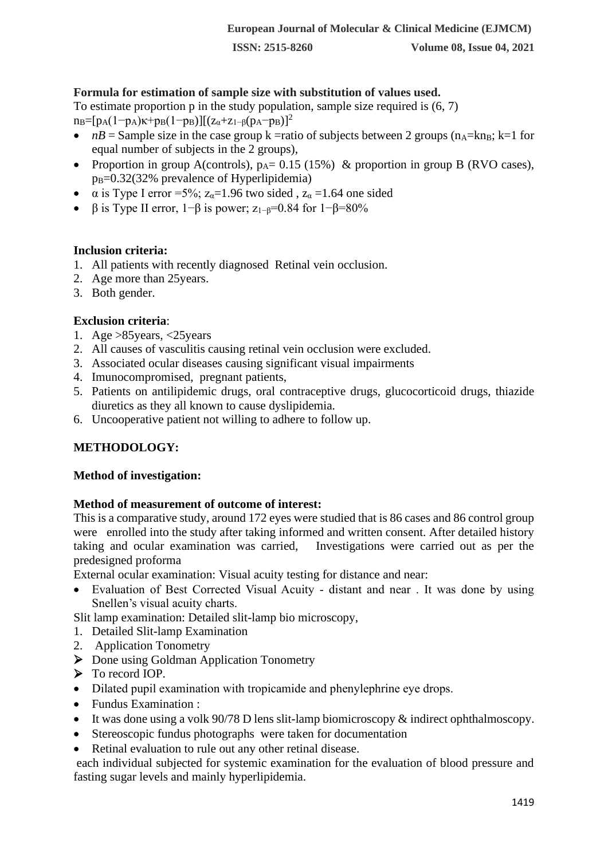## **Formula for estimation of sample size with substitution of values used.**

To estimate proportion p in the study population, sample size required is (6, 7)

- $n_B=[p_A(1-p_A)\kappa+p_B(1-p_B)][(z_\alpha+z_{1-\beta}(p_A-p_B))^2]$
- *nB* = Sample size in the case group k =ratio of subjects between 2 groups ( $n_A$ =kn<sub>B</sub>; k=1 for equal number of subjects in the 2 groups),
- Proportion in group A(controls),  $p_A = 0.15$  (15%) & proportion in group B (RVO cases),  $p_B = 0.32(32\%$  prevalence of Hyperlipidemia)
- $\alpha$  is Type I error = 5%;  $z_{\alpha}$ =1.96 two sided,  $z_{\alpha}$  = 1.64 one sided
- β is Type II error,  $1-\beta$  is power;  $z_{1-\beta}=0.84$  for  $1-\beta=80\%$

#### **Inclusion criteria:**

- 1. All patients with recently diagnosed Retinal vein occlusion.
- 2. Age more than 25years.
- 3. Both gender.

## **Exclusion criteria**:

- 1. Age >85years, <25years
- 2. All causes of vasculitis causing retinal vein occlusion were excluded.
- 3. Associated ocular diseases causing significant visual impairments
- 4. Imunocompromised, pregnant patients,
- 5. Patients on antilipidemic drugs, oral contraceptive drugs, glucocorticoid drugs, thiazide diuretics as they all known to cause dyslipidemia.
- 6. Uncooperative patient not willing to adhere to follow up.

#### **METHODOLOGY:**

#### **Method of investigation:**

#### **Method of measurement of outcome of interest:**

This is a comparative study, around 172 eyes were studied that is 86 cases and 86 control group were enrolled into the study after taking informed and written consent. After detailed history taking and ocular examination was carried, Investigations were carried out as per the predesigned proforma

External ocular examination: Visual acuity testing for distance and near:

• Evaluation of Best Corrected Visual Acuity - distant and near . It was done by using Snellen's visual acuity charts.

Slit lamp examination: Detailed slit-lamp bio microscopy,

- 1. Detailed Slit-lamp Examination
- 2. Application Tonometry
- ➢ Done using Goldman Application Tonometry
- ➢ To record IOP.
- Dilated pupil examination with tropicamide and phenylephrine eye drops.
- Fundus Examination :
- It was done using a volk 90/78 D lens slit-lamp biomicroscopy & indirect ophthalmoscopy.
- Stereoscopic fundus photographs were taken for documentation
- Retinal evaluation to rule out any other retinal disease.

each individual subjected for systemic examination for the evaluation of blood pressure and fasting sugar levels and mainly hyperlipidemia.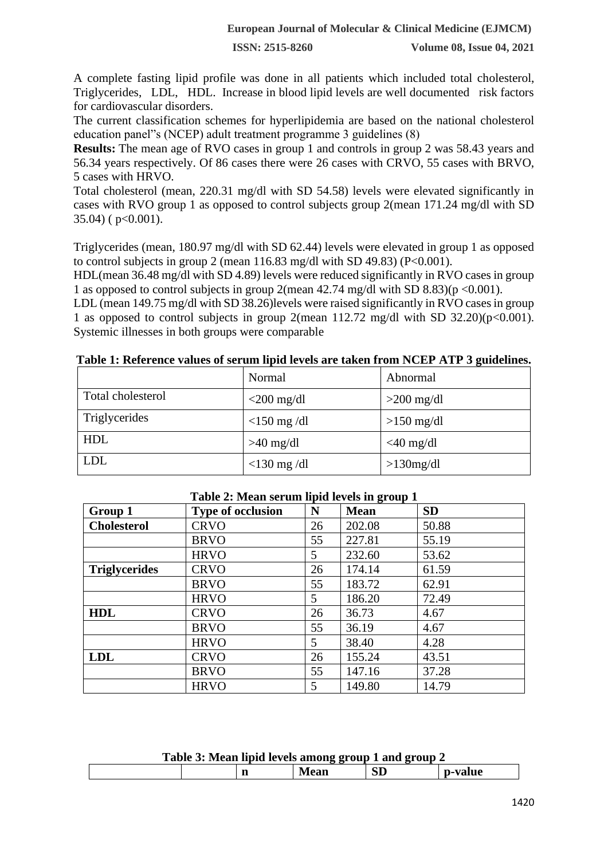A complete fasting lipid profile was done in all patients which included total cholesterol, Triglycerides, LDL, HDL. Increase in blood lipid levels are well documented risk factors for cardiovascular disorders.

The current classification schemes for hyperlipidemia are based on the national cholesterol education panel"s (NCEP) adult treatment programme 3 guidelines (8)

**Results:** The mean age of RVO cases in group 1 and controls in group 2 was 58.43 years and 56.34 years respectively. Of 86 cases there were 26 cases with CRVO, 55 cases with BRVO, 5 cases with HRVO.

Total cholesterol (mean, 220.31 mg/dl with SD 54.58) levels were elevated significantly in cases with RVO group 1 as opposed to control subjects group 2(mean 171.24 mg/dl with SD  $35.04$ ) (  $p<0.001$ ).

Triglycerides (mean, 180.97 mg/dl with SD 62.44) levels were elevated in group 1 as opposed to control subjects in group 2 (mean  $116.83$  mg/dl with SD 49.83) (P<0.001).

HDL(mean 36.48 mg/dl with SD 4.89) levels were reduced significantly in RVO cases in group 1 as opposed to control subjects in group 2(mean  $42.74 \text{ mg/dl}$  with SD  $8.83$ )(p <0.001).

LDL (mean 149.75 mg/dl with SD 38.26)levels were raised significantly in RVO cases in group 1 as opposed to control subjects in group 2(mean  $112.72 \text{ mg/dl}$  with SD  $32.20(p<0.001)$ . Systemic illnesses in both groups were comparable

|                   | Normal        | Abnormal     |
|-------------------|---------------|--------------|
| Total cholesterol | $<$ 200 mg/dl | $>200$ mg/dl |
| Triglycerides     | $<$ 150 mg/dl | $>150$ mg/dl |
| <b>HDL</b>        | $>40$ mg/dl   | $<$ 40 mg/dl |
| <b>LDL</b>        | $<$ 130 mg/dl | $>130$ mg/dl |

**Table 1: Reference values of serum lipid levels are taken from NCEP ATP 3 guidelines.**

| Group 1              | <b>Type of occlusion</b> | N  | <u>.</u><br><b>Mean</b> | <b>SD</b> |
|----------------------|--------------------------|----|-------------------------|-----------|
| <b>Cholesterol</b>   | <b>CRVO</b>              | 26 | 202.08                  | 50.88     |
|                      | <b>BRVO</b>              | 55 | 227.81                  | 55.19     |
|                      | <b>HRVO</b>              | 5  | 232.60                  | 53.62     |
| <b>Triglycerides</b> | <b>CRVO</b>              | 26 | 174.14                  | 61.59     |
|                      | <b>BRVO</b>              | 55 | 183.72                  | 62.91     |
|                      | <b>HRVO</b>              | 5  | 186.20                  | 72.49     |
| <b>HDL</b>           | <b>CRVO</b>              | 26 | 36.73                   | 4.67      |
|                      | <b>BRVO</b>              | 55 | 36.19                   | 4.67      |
|                      | <b>HRVO</b>              | 5  | 38.40                   | 4.28      |
| <b>LDL</b>           | <b>CRVO</b>              | 26 | 155.24                  | 43.51     |
|                      | <b>BRVO</b>              | 55 | 147.16                  | 37.28     |
|                      | <b>HRVO</b>              | 5  | 149.80                  | 14.79     |

#### **Table 2: Mean serum lipid levels in group 1**

| Table 3: Mean lipid levels among group 1 and group 2 |  |             |    |         |  |  |
|------------------------------------------------------|--|-------------|----|---------|--|--|
|                                                      |  | <b>Mean</b> | SD | p-value |  |  |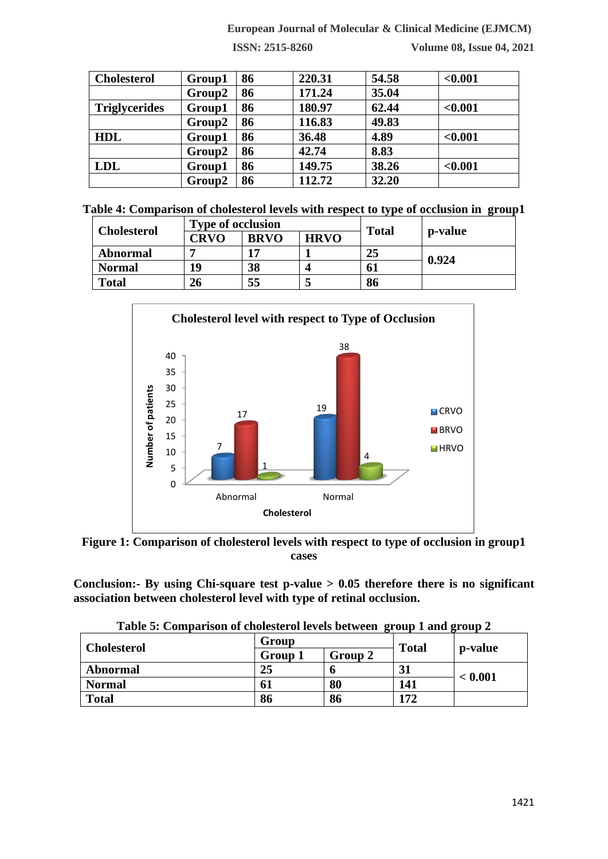# **European Journal of Molecular & Clinical Medicine (EJMCM)**

**ISSN: 2515-8260 Volume 08, Issue 04, 2021**

| <b>Cholesterol</b>   | Group1 | 86 | 220.31 | 54.58 | < 0.001 |
|----------------------|--------|----|--------|-------|---------|
|                      | Group2 | 86 | 171.24 | 35.04 |         |
| <b>Triglycerides</b> | Group1 | 86 | 180.97 | 62.44 | < 0.001 |
|                      | Group2 | 86 | 116.83 | 49.83 |         |
| <b>HDL</b>           | Group1 | 86 | 36.48  | 4.89  | < 0.001 |
|                      | Group2 | 86 | 42.74  | 8.83  |         |
| <b>LDL</b>           | Group1 | 86 | 149.75 | 38.26 | < 0.001 |
|                      | Group2 | 86 | 112.72 | 32.20 |         |

|  | Table 4: Comparison of cholesterol levels with respect to type of occlusion in group1 |  |  |  |
|--|---------------------------------------------------------------------------------------|--|--|--|
|  |                                                                                       |  |  |  |

| <b>Cholesterol</b> | <b>Type of occlusion</b> |             |             | <b>Total</b> |         |
|--------------------|--------------------------|-------------|-------------|--------------|---------|
|                    | <b>CRVO</b>              | <b>BRVO</b> | <b>HRVO</b> |              | p-value |
| <b>Abnormal</b>    |                          |             |             | 25           |         |
| <b>Normal</b>      | 19                       | 38          |             | 61           | 0.924   |
| <b>Total</b>       | 26                       | 55          |             | 86           |         |



**Figure 1: Comparison of cholesterol levels with respect to type of occlusion in group1 cases**

**Conclusion:- By using Chi-square test p-value > 0.05 therefore there is no significant association between cholesterol level with type of retinal occlusion.**

| Table 5: Comparison of cholesterol levels between group 1 and group 2 |  |
|-----------------------------------------------------------------------|--|
|-----------------------------------------------------------------------|--|

| <b>Cholesterol</b> | Group   |         | <b>Total</b> |         |  |
|--------------------|---------|---------|--------------|---------|--|
|                    | Group 1 | Group 2 |              | p-value |  |
| <b>Abnormal</b>    | 25      | o       | 31           | < 0.001 |  |
| <b>Normal</b>      | 61      | 80      | 141          |         |  |
| <b>Total</b>       | 86      | 86      | 172          |         |  |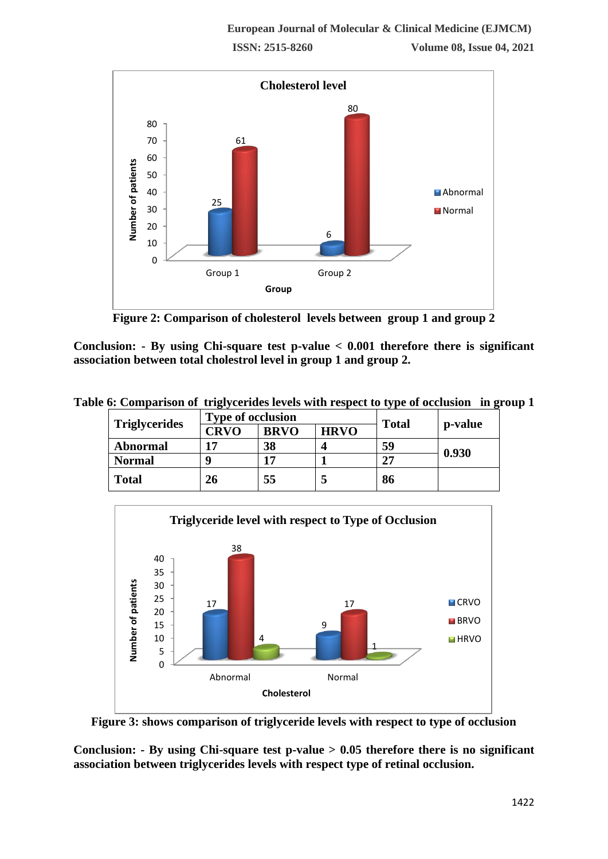

**Figure 2: Comparison of cholesterol levels between group 1 and group 2**

**Conclusion: - By using Chi-square test p-value < 0.001 therefore there is significant association between total cholestrol level in group 1 and group 2.**

**Table 6: Comparison of triglycerides levels with respect to type of occlusion in group 1**

|                      | <b>Type of occlusion</b> |             |             | <b>Total</b> |         |
|----------------------|--------------------------|-------------|-------------|--------------|---------|
| <b>Triglycerides</b> | <b>CRVO</b>              | <b>BRVO</b> | <b>HRVO</b> |              | p-value |
| <b>Abnormal</b>      | 17                       | 38          |             | 59           | 0.930   |
| <b>Normal</b>        |                          | 17          |             | 27           |         |
| <b>Total</b>         | 26                       | 55          |             | 86           |         |



**Figure 3: shows comparison of triglyceride levels with respect to type of occlusion**

**Conclusion: - By using Chi-square test p-value > 0.05 therefore there is no significant association between triglycerides levels with respect type of retinal occlusion.**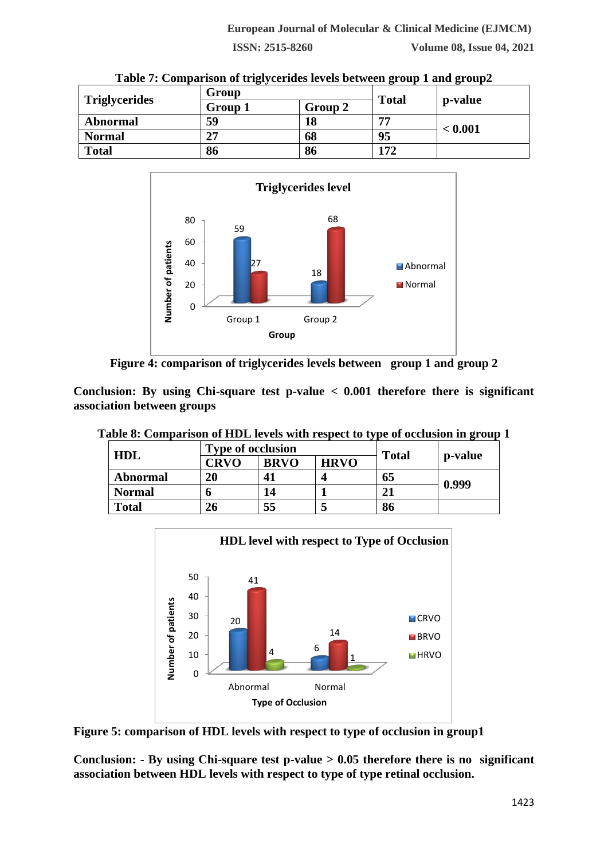**ISSN: 2515-8260 Volume 08, Issue 04, 2021**

| Table 7: Comparison of triglycerides levels between group 1 and group2 |         |         |              |         |  |  |
|------------------------------------------------------------------------|---------|---------|--------------|---------|--|--|
| <b>Triglycerides</b>                                                   | Group   |         |              |         |  |  |
|                                                                        | Group 1 | Group 2 | <b>Total</b> | p-value |  |  |
| Abnormal                                                               | 59      | 18      | 77           | < 0.001 |  |  |
| <b>Normal</b>                                                          | 27      | 68      | 95           |         |  |  |
| <b>Total</b>                                                           | 86      | 86      | 172          |         |  |  |





**Figure 4: comparison of triglycerides levels between group 1 and group 2**

**Conclusion: By using Chi-square test p-value < 0.001 therefore there is significant association between groups**

|  | Table 8: Comparison of HDL levels with respect to type of occlusion in group 1 |  |  |
|--|--------------------------------------------------------------------------------|--|--|
|  |                                                                                |  |  |
|  |                                                                                |  |  |
|  |                                                                                |  |  |

| HDL             | <b>Type of occlusion</b> |             |             |              |         |
|-----------------|--------------------------|-------------|-------------|--------------|---------|
|                 | <b>CRVO</b>              | <b>BRVO</b> | <b>HRVO</b> | <b>Total</b> | p-value |
| <b>Abnormal</b> | 20                       | 41          | Δ           | 65           | 0.999   |
| <b>Normal</b>   |                          | 14          |             |              |         |
| <b>Total</b>    | 26                       | 55          |             | 86           |         |



**Figure 5: comparison of HDL levels with respect to type of occlusion in group1**

**Conclusion: - By using Chi-square test p-value > 0.05 therefore there is no significant association between HDL levels with respect to type of type retinal occlusion.**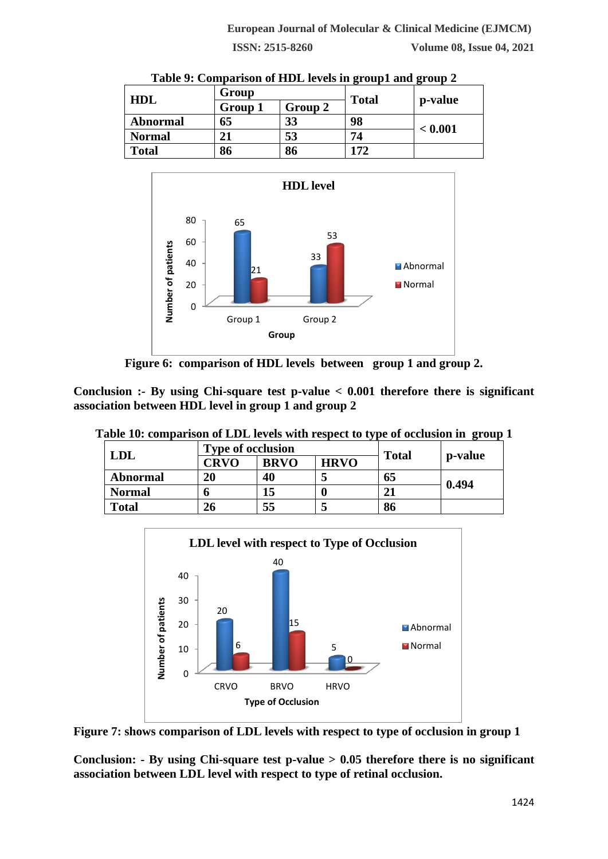| <b>HDL</b>      | Group   |         | <b>Total</b> |         |
|-----------------|---------|---------|--------------|---------|
|                 | Group 1 | Group 2 |              | p-value |
| <b>Abnormal</b> | 65      | 33      | 98           | < 0.001 |
| <b>Normal</b>   |         | 53      | 74           |         |
| <b>Total</b>    | 86      | 86      | 172          |         |





**Figure 6: comparison of HDL levels between group 1 and group 2.**

**Conclusion :- By using Chi-square test p-value < 0.001 therefore there is significant association between HDL level in group 1 and group 2**

|  |  |  |  | Table 10: comparison of LDL levels with respect to type of occlusion in group 1 |  |  |
|--|--|--|--|---------------------------------------------------------------------------------|--|--|
|  |  |  |  |                                                                                 |  |  |

| <b>LDL</b>      | <b>Type of occlusion</b> |             |             |              |         |  |
|-----------------|--------------------------|-------------|-------------|--------------|---------|--|
|                 | <b>CRVO</b>              | <b>BRVO</b> | <b>HRVO</b> | <b>Total</b> | p-value |  |
| <b>Abnormal</b> | 20                       | 40          |             | 65           | 0.494   |  |
| <b>Normal</b>   |                          | 15          |             | 21           |         |  |
| <b>Total</b>    | 26                       | 55          |             | 86           |         |  |



**Figure 7: shows comparison of LDL levels with respect to type of occlusion in group 1**

**Conclusion: - By using Chi-square test p-value > 0.05 therefore there is no significant association between LDL level with respect to type of retinal occlusion.**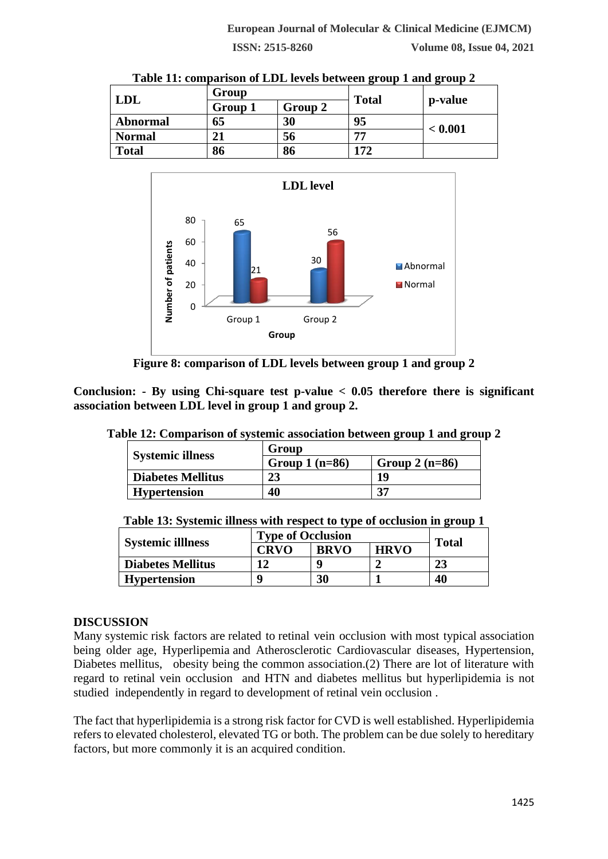| Table 11: comparison of LDL levels between group 1 and group 2 |         |         |              |         |  |  |
|----------------------------------------------------------------|---------|---------|--------------|---------|--|--|
| <b>LDL</b>                                                     | Group   |         |              |         |  |  |
|                                                                | Group 1 | Group 2 | <b>Total</b> | p-value |  |  |
| Abnormal                                                       | 65      | 30      | 95           | < 0.001 |  |  |
| <b>Normal</b>                                                  | 21      | 56      | 77           |         |  |  |
| <b>Total</b>                                                   | 86      | 86      | 172          |         |  |  |



**Figure 8: comparison of LDL levels between group 1 and group 2**

**Conclusion: - By using Chi-square test p-value < 0.05 therefore there is significant association between LDL level in group 1 and group 2.**

| <b>Systemic illness</b>  | Group           |                 |  |  |  |  |
|--------------------------|-----------------|-----------------|--|--|--|--|
|                          | Group $1(n=86)$ | Group $2(n=86)$ |  |  |  |  |
| <b>Diabetes Mellitus</b> | 23              | 19              |  |  |  |  |
| <b>Hypertension</b>      | 40              | 37              |  |  |  |  |

**Table 12: Comparison of systemic association between group 1 and group 2**

| Table 13: Systemic illness with respect to type of occlusion in group 1 |
|-------------------------------------------------------------------------|
|-------------------------------------------------------------------------|

|                          | <b>Type of Occlusion</b> |             |             |              |
|--------------------------|--------------------------|-------------|-------------|--------------|
| <b>Systemic illiness</b> | <b>CRVO</b>              | <b>BRVO</b> | <b>HRVO</b> | <b>Total</b> |
| <b>Diabetes Mellitus</b> |                          |             |             | 23           |
| <b>Hypertension</b>      | Q                        | 30          |             | 40           |
|                          |                          |             |             |              |

# **DISCUSSION**

Many systemic risk factors are related to retinal vein occlusion with most typical association being older age, Hyperlipemia and Atherosclerotic Cardiovascular diseases, Hypertension, Diabetes mellitus, obesity being the common association.(2) There are lot of literature with regard to retinal vein occlusion and HTN and diabetes mellitus but hyperlipidemia is not studied independently in regard to development of retinal vein occlusion .

The fact that hyperlipidemia is a strong risk factor for CVD is well established. Hyperlipidemia refers to elevated cholesterol, elevated TG or both. The problem can be due solely to hereditary factors, but more commonly it is an acquired condition.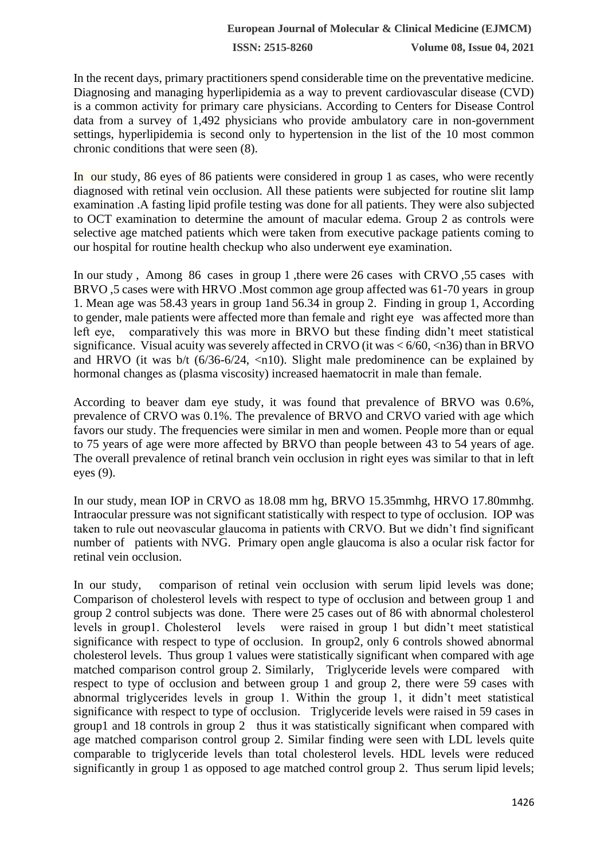In the recent days, primary practitioners spend considerable time on the preventative medicine. Diagnosing and managing hyperlipidemia as a way to prevent cardiovascular disease (CVD) is a common activity for primary care physicians. According to Centers for Disease Control data from a survey of 1,492 physicians who provide ambulatory care in non-government settings, hyperlipidemia is second only to hypertension in the list of the 10 most common chronic conditions that were seen (8).

In our study, 86 eyes of 86 patients were considered in group 1 as cases, who were recently diagnosed with retinal vein occlusion. All these patients were subjected for routine slit lamp examination .A fasting lipid profile testing was done for all patients. They were also subjected to OCT examination to determine the amount of macular edema. Group 2 as controls were selective age matched patients which were taken from executive package patients coming to our hospital for routine health checkup who also underwent eye examination.

In our study , Among 86 cases in group 1 ,there were 26 cases with CRVO ,55 cases with BRVO ,5 cases were with HRVO .Most common age group affected was 61-70 years in group 1. Mean age was 58.43 years in group 1and 56.34 in group 2. Finding in group 1, According to gender, male patients were affected more than female and right eye was affected more than left eye, comparatively this was more in BRVO but these finding didn't meet statistical significance. Visual acuity was severely affected in CRVO (it was  $\lt 6/60$ ,  $\lt 136$ ) than in BRVO and HRVO (it was  $b/t$  (6/36-6/24,  $\langle$ n10). Slight male predominence can be explained by hormonal changes as (plasma viscosity) increased haematocrit in male than female.

According to beaver dam eye study, it was found that prevalence of BRVO was 0.6%, prevalence of CRVO was 0.1%. The prevalence of BRVO and CRVO varied with age which favors our study. The frequencies were similar in men and women. People more than or equal to 75 years of age were more affected by BRVO than people between 43 to 54 years of age. The overall prevalence of retinal branch vein occlusion in right eyes was similar to that in left eyes (9).

In our study, mean IOP in CRVO as 18.08 mm hg, BRVO 15.35mmhg, HRVO 17.80mmhg. Intraocular pressure was not significant statistically with respect to type of occlusion. IOP was taken to rule out neovascular glaucoma in patients with CRVO. But we didn't find significant number of patients with NVG. Primary open angle glaucoma is also a ocular risk factor for retinal vein occlusion.

In our study, comparison of retinal vein occlusion with serum lipid levels was done; Comparison of cholesterol levels with respect to type of occlusion and between group 1 and group 2 control subjects was done. There were 25 cases out of 86 with abnormal cholesterol levels in group1. Cholesterol levels were raised in group 1 but didn't meet statistical significance with respect to type of occlusion. In group2, only 6 controls showed abnormal cholesterol levels. Thus group 1 values were statistically significant when compared with age matched comparison control group 2. Similarly, Triglyceride levels were compared with respect to type of occlusion and between group 1 and group 2, there were 59 cases with abnormal triglycerides levels in group 1. Within the group 1, it didn't meet statistical significance with respect to type of occlusion. Triglyceride levels were raised in 59 cases in group1 and 18 controls in group 2 thus it was statistically significant when compared with age matched comparison control group 2. Similar finding were seen with LDL levels quite comparable to triglyceride levels than total cholesterol levels. HDL levels were reduced significantly in group 1 as opposed to age matched control group 2. Thus serum lipid levels;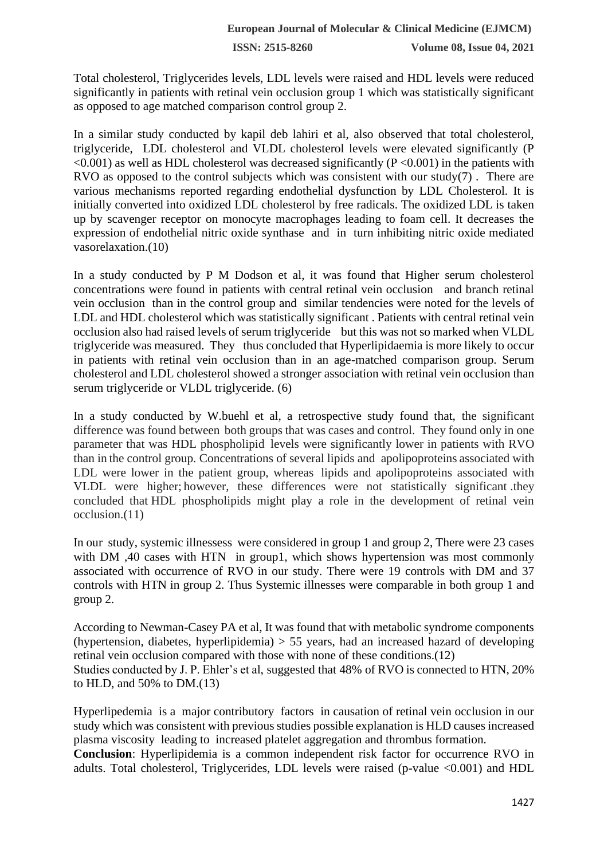Total cholesterol, Triglycerides levels, LDL levels were raised and HDL levels were reduced significantly in patients with retinal vein occlusion group 1 which was statistically significant as opposed to age matched comparison control group 2.

In a similar study conducted by kapil deb lahiri et al, also observed that total cholesterol, triglyceride, LDL cholesterol and VLDL cholesterol levels were elevated significantly (P  $\leq 0.001$ ) as well as HDL cholesterol was decreased significantly (P $\leq 0.001$ ) in the patients with RVO as opposed to the control subjects which was consistent with our study(7) . There are various mechanisms reported regarding endothelial dysfunction by LDL Cholesterol. It is initially converted into oxidized LDL cholesterol by free radicals. The oxidized LDL is taken up by scavenger receptor on monocyte macrophages leading to foam cell. It decreases the expression of endothelial nitric oxide synthase and in turn inhibiting nitric oxide mediated vasorelaxation.(10)

In a study conducted by P M Dodson et al, it was found that Higher serum cholesterol concentrations were found in patients with central retinal vein occlusion and branch retinal vein occlusion than in the control group and similar tendencies were noted for the levels of LDL and HDL cholesterol which was statistically significant . Patients with central retinal vein occlusion also had raised levels of serum triglyceride but this was not so marked when VLDL triglyceride was measured. They thus concluded that Hyperlipidaemia is more likely to occur in patients with retinal vein occlusion than in an age-matched comparison group. Serum cholesterol and LDL cholesterol showed a stronger association with retinal vein occlusion than serum triglyceride or VLDL triglyceride. (6)

In a study conducted by W.buehl et al, a retrospective study found that, the significant difference was found between both groups that was cases and control. They found only in one parameter that was HDL phospholipid levels were significantly lower in patients with RVO than in the control group. Concentrations of several lipids and apolipoproteins associated with LDL were lower in the patient group, whereas lipids and apolipoproteins associated with VLDL were higher; however, these differences were not statistically significant .they concluded that HDL phospholipids might play a role in the development of retinal vein occlusion.(11)

In our study, systemic illnessess were considered in group 1 and group 2, There were 23 cases with DM ,40 cases with HTN in group1, which shows hypertension was most commonly associated with occurrence of RVO in our study. There were 19 controls with DM and 37 controls with HTN in group 2. Thus Systemic illnesses were comparable in both group 1 and group 2.

According to Newman-Casey PA et al, It was found that with metabolic syndrome components (hypertension, diabetes, hyperlipidemia)  $> 55$  years, had an increased hazard of developing retinal vein occlusion compared with those with none of these conditions.(12) Studies conducted by J. P. Ehler's et al, suggested that 48% of RVO is connected to HTN, 20% to HLD, and 50% to DM.(13)

Hyperlipedemia is a major contributory factors in causation of retinal vein occlusion in our study which was consistent with previous studies possible explanation is HLD causes increased plasma viscosity leading to increased platelet aggregation and thrombus formation.

**Conclusion**: Hyperlipidemia is a common independent risk factor for occurrence RVO in adults. Total cholesterol, Triglycerides, LDL levels were raised (p-value <0.001) and HDL